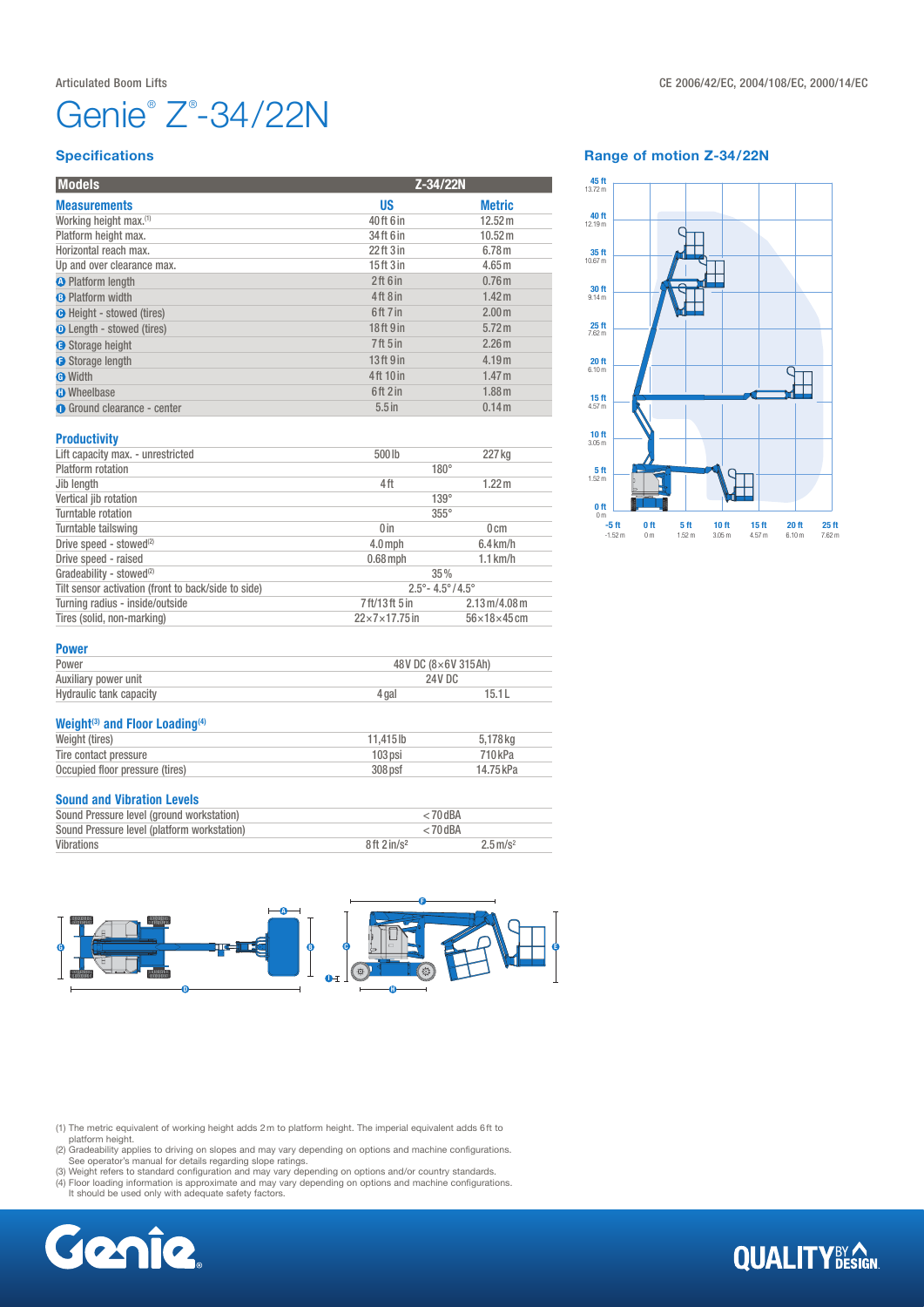# Genie<sup>®</sup> Z<sup>®</sup>-34/22N

#### **Specifications**

| <b>Models</b>                      | Z-34/22N                         |                   |
|------------------------------------|----------------------------------|-------------------|
| <b>Measurements</b>                | US                               | <b>Metric</b>     |
| Working height max. <sup>(1)</sup> | 40ft 6 in                        | 12.52 m           |
| Platform height max.               | 34 ft 6 in                       | 10.52 m           |
| Horizontal reach max.              | 22 <sup>ft</sup> 3 <sup>in</sup> | 6.78 <sub>m</sub> |
| Up and over clearance max.         | 15ft 3 in                        | 4.65 <sub>m</sub> |
| <b>O</b> Platform length           | 2ft 6in                          | 0.76 <sub>m</sub> |
| <b>B</b> Platform width            | 4ft8in                           | 1.42 m            |
| <b>O</b> Height - stowed (tires)   | 6ft 7 in                         | 2.00 <sub>m</sub> |
| <b>O</b> Length - stowed (tires)   | 18ft 9 in                        | 5.72 m            |
| Storage height                     | 7ft 5 in                         | 2.26 <sub>m</sub> |
| Storage length                     | 13 <sup>ft</sup> 9 <sup>in</sup> | 4.19m             |
| <b>O</b> Width                     | 4ft 10 in                        | 1.47 <sub>m</sub> |
| <b>O</b> Wheelbase                 | 6ft2in                           | 1.88 <sub>m</sub> |
| <b>O</b> Ground clearance - center | $5.5$ in                         | 0.14m             |

Lift capacity max. - unrestricted 500 lb 227 kg

Jib length 1.22 m

Platform rotation 180°

Vertical jib rotation 139° Turntable rotation 355° Turntable tailswing 0 on 0 cm Drive speed - stowed<sup>(2)</sup> 4.0mph 6.4 km/h<br>Drive speed - raised  $\frac{4.0 \text{ mph}}{0.68 \text{ mph}}$  5.4 km/h Drive speed - raised 0.68 mph 1.1 km/h

Gradeability - stowed(2) 35% Tilt sensor activation (front to back/side to side)<br>
Turning radius - inside/outside<br>
2.13 m/4.08 m Turning radius - inside/outside  $\overline{7}$  ft/13 ft 5 in 2.13 m/4.08 m<br>Tires (solid, non-marking)  $\overline{22 \times 7 \times 17.75}$  in 56 × 18 × 45 cm

### Range of motion Z-34/22N



## Power

Tires (solid, non-marking)

**Productivity** 

| Power                   |       | 48V DC (8×6V 315Ah) |  |  |
|-------------------------|-------|---------------------|--|--|
| Auxiliary power unit    |       | 24V DC              |  |  |
| Hydraulic tank capacity | 4 gai | 15.1L               |  |  |

#### Weight<sup>(3)</sup> and Floor Loading<sup>(4)</sup> Weight (tires) 11,415 lb 5,178 kg<br>Tire contact pressure 103 psi 710 kPa Tire contact pressure Occupied floor pressure (tires) 308 psf 14.75 kPa

#### Sound and Vibration Levels

| Sound Pressure level (ground workstation)   | $< 70$ dBA                |                        |  |
|---------------------------------------------|---------------------------|------------------------|--|
| Sound Pressure level (platform workstation) | $< 70$ dBA                |                        |  |
| Vibrations                                  | $8ft$ 2 in/s <sup>2</sup> | $2.5 \,\mathrm{m/s^2}$ |  |



(1) The metric equivalent of working height adds 2m to platform height. The imperial equivalent adds 6ft to

platform height. (2) Gradeability applies to driving on slopes and may vary depending on options and machine configurations. See operator's manual for details regarding slope ratings. (3) Weight refers to standard configuration and may vary depending on options and/or country standards.

(4) Floor loading information is approximate and may vary depending on options and machine configurations. It should be used only with adequate safety factors.